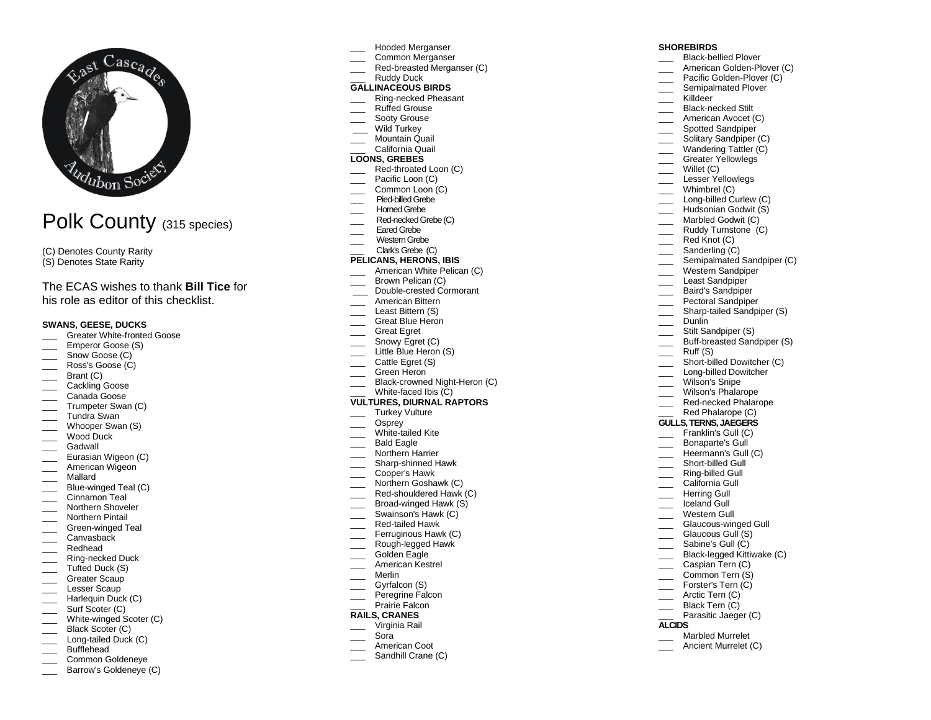

# Polk County (315 species)

(C) Denotes County Rarity (S) Denotes State Rarity

## The ECAS wishes to thank **Bill Tice** for his role as editor of this checklist.

#### **SWANS, GEESE, DUCKS**

- Greater White-fronted Goose
- Emperor Goose (S)
- \_\_\_\_ Snow Goose (C)
- \_\_\_ Ross's Goose (C)
- \_\_\_ Brant (C)
- \_\_\_ Cackling Goose
- Canada Goose
- \_\_\_ Trumpeter Swan (C)
- Tundra Swan
- \_\_\_ Whooper Swan (S)
- \_\_\_ Wood Duck
- \_\_\_ Gadwall
- Eurasian Wigeon (C) American Wigeon
- 
- \_\_\_ Mallard
- Blue-winged Teal (C) Cinnamon Teal
- 
- Northern Shoveler
- \_\_\_ Northern Pintail
- \_\_\_ Green-winged Teal
- \_\_\_ Canvasback \_\_\_ Redhead
- 
- \_\_\_ Ring-necked Duck \_\_\_ Tufted Duck (S)
- \_\_\_\_ Greater Scaup
- \_\_\_ Lesser Scaup
- \_\_\_ Harlequin Duck (C)
- \_\_\_\_ Surf Scoter (C)
- White-winged Scoter (C)
- Black Scoter (C)
- Long-tailed Duck (C) Bufflehead
- 
- \_\_\_ Common Goldeneye Barrow's Goldeneye (C)
- \_\_\_ Hooded Merganser
- \_\_\_ Common Merganser
- Red-breasted Merganser (C)
- Ruddy Duck

## **GALLINACEOUS BIRDS**

- \_\_\_ Ring-necked Pheasant Ruffed Grouse
- Sooty Grouse
- Wild Turkey
- Mountain Quail
- \_\_\_ California Quail

#### **LOONS, GREBES**

- Red-throated Loon (C)
- Pacific Loon (C)
- Common Loon (C)
- **\_\_\_** Pied-billed Grebe
- Horned Grebe
- Red-necked Grebe (C)
- Eared Grebe
- Western Grebe
- \_\_\_ Clark's Grebe(C)

## **PELICANS, HERONS, IBIS**

- American White Pelican (C)
- \_\_\_ Brown Pelican (C)
- \_\_\_ Double-crested Cormorant
- American Bittern
- Least Bittern (S)
- \_\_\_ Great Blue Heron Great Egret
- 
- Snowy Egret (C) Little Blue Heron (S)
- Cattle Egret (S)
- Green Heron
- Black-crowned Night-Heron (C)
- White-faced Ibis  $(C)$

## **VULTURES, DIURNAL RAPTORS**

- \_\_\_ Turkey Vulture
- Osprev
- White-tailed Kite
- Bald Eagle
- Northern Harrier
- Sharp-shinned Hawk
- \_\_\_ Cooper's Hawk
- Northern Goshawk (C)
- Red-shouldered Hawk (C)
- **EXECUTE:** Broad-winged Hawk (S)
- Swainson's Hawk (C)
- \_\_\_ Red-tailed Hawk
- Ferruginous Hawk (C)
- Rough-legged Hawk
- Golden Eagle American Kestrel
- \_\_\_ Merlin
- 
- \_\_\_ Gyrfalcon (S)
- \_\_\_ Peregrine Falcon Prairie Falcon
- **RAILS, CRANES**

## \_\_\_ Virginia Rail

- \_\_\_ Sora
- American Coot
- Sandhill Crane (C)

#### **SHOREBIRDS**

- Black-bellied Plover
- American Golden-Plover (C)
- Pacific Golden-Plover (C)

Lesser Yellowlegs Whimbrel (C) Long-billed Curlew (C) Hudsonian Godwit (S) Marbled Godwit (C) \_\_\_ Ruddy Turnstone (C) \_\_\_ Red Knot (C) Sanderling (C)

Semipalmated Sandpiper (C) Western Sandpiper \_\_\_ Least Sandpiper \_\_\_ Baird's Sandpiper Pectoral Sandpiper Sharp-tailed Sandpiper (S)

Semipalmated Plover

Killdeer Black-necked Stilt American Avocet (C) Spotted Sandpiper \_\_\_ Solitary Sandpiper (C) Wandering Tattler (C) \_\_\_ Greater Yellowlegs \_\_\_ Willet (C)

Dunlin

Ruff (S)

Stilt Sandpiper (S) Buff-breasted Sandpiper (S)

Parasitic Jaeger (C)

\_\_\_ Marbled Murrelet Ancient Murrelet (C)

**ALCIDS**

Short-billed Dowitcher (C) Long-billed Dowitcher Wilson's Snipe Wilson's Phalarope \_\_\_\_ Red-necked Phalarope Red Phalarope (C) **GULLS, TERNS, JAEGERS** \_\_\_ Franklin's Gull (C) Bonaparte's Gull Heermann's Gull (C) Short-billed Gull Ring-billed Gull California Gull Herring Gull \_\_\_ Iceland Gull Western Gull Glaucous-winged Gull \_\_\_ Glaucous Gull (S) Sabine's Gull (C) Black-legged Kittiwake (C) Caspian Tern (C) Common Tern (S) \_\_\_ Forster's Tern (C) \_\_\_\_\_\_ Arctic Tern (C) \_\_\_ Black Tern (C)